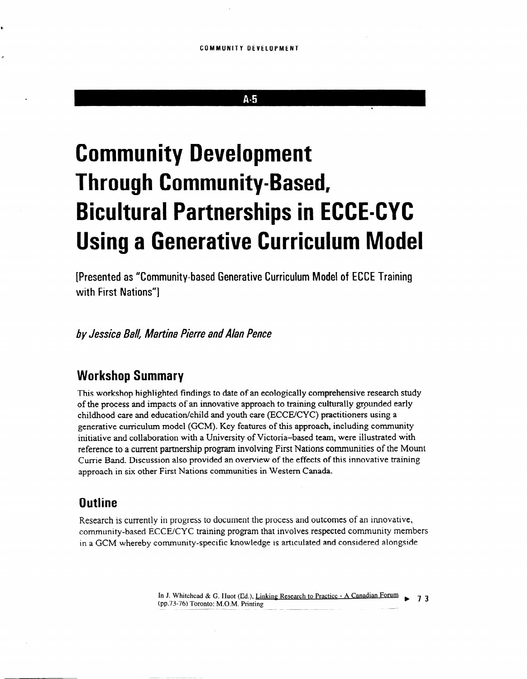## $A - 5$

# **Community Development** Through Community-Based, Bicultural Partnerships in ECCE-CYC Using a Generative Curriculum Model

[Presented as "Community-based Generative Curriculum Model of ECCE Training with First Nations"]

by Jessica Ball, Martina Pierre and Alan Pence

# Workshop Summary

This workshop highlighted findings to date of an ecologically comprehensive research study of the process and impacts of an innovative approach to training culturally grpunded early childhood care and education/child and youth care (ECCE/CYC) practitioners using a generative curriculum model (GCM). Key features of this approach, including community initiative and collaboration with a University of Victoria-based team, were illustrated with reference to a current partnership program involving First Nations communities of the Mount Currie Band. Discussion also provided an overview of the effects of this innovative training approach in six other First Nations communities in Western Canada.

## **Outline**

Research is currently in progress to document the process and outcomes of an innovative, community-based ECCE/CYC training program that involves respected community members in a GCM whereby community-specific knowledge is articulated and considered alongside

> In J. Whitehead & G. Huot (Ed.), Linking Research to Practice - A Canadian Forum  $(pp.73-76)$  Toronto: M.O.M. Printing b 7 3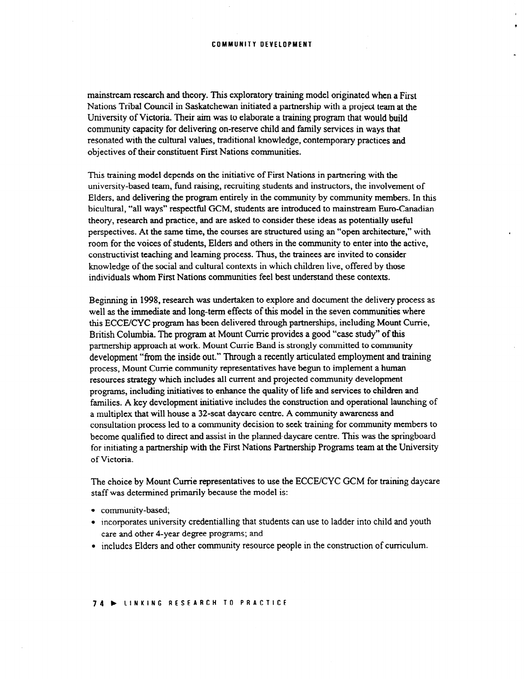### COMMUNITY DEVELOPMENT

mainstream research and theory. This exploratory training model originated when a First Nations Tribal Council in Saskatchewan initiated a partnership with a project team at the University of Victoria. Their aim was to elaborate a training program that would build community capacity for delivering on-reserve child and family services in ways that resonated with the cultural values, traditional knowledge, contemporary practices and objectives of their constituent First Nations communities.

This training model depends on the initiative of First Nations in partnering with the university-based team, fund raising, recruiting students and instructors, the involvement of Elders, and delivering the program entirely in the community by community members. In this bicultural, "all ways" respectful GCM, students are introduced to mainstream Euro-Canadian theory, research and practice, and are asked to consider these ideas as potentially useful perspectives. At the same time, the courses are structured using an "open architecture," with room for the voices of students, Elders and others in the community to enter into the active, constructivist teaching and learning process. Thus, the trainees are invited to consider knowledge of the social and cultural contexts in which children live, offered by those individuals whom First Nations communities feel best understand these contexts.

Beginning in 1998, research was undertaken to explore and document the delivery process as well as the immediate and long-term effects of this model in the seven communities where this ECCEKYC program has been delivered through partnerships, including Mount Currie, British Columbia. The program at Mount Currie provides a good "case study" of this partnership approach at work. Mount Currie Band is strongly committed to community development "from the inside out." Through a recently articulated employment and training process, Mount Currie community representatives have begun to implement a human resources strategy which includes all current and projected community development programs, including initiatives to enhance the quality of life and services to children and families. A key development initiative includes the construction and operational launching of a multiplex that will house a 32.seat daycare centre. A community awareness and consultation process led to a community decision to seek training for community members to become qualified to direct and assist in the planned daycare centre. This was the springboard for initiating a partnership with the First Nations Partnership Programs team at the University of Victoria.

The choice by Mount Currie representatives to use the ECCE/CYC GCM for training daycare staff was determined primarily because the model is:

- community-based;
- <sup>l</sup>incorporates university credentialling that students can use to ladder into child and youth care and other 4-year degree programs; and
- includes Elders and other community resource people in the construction of curriculum.

#### 74 EINKING RESEARCH TO PRACTICE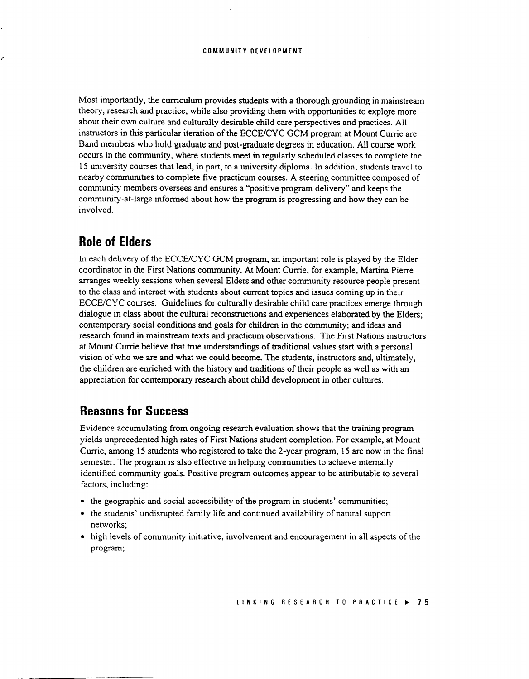Most importantly, the curriculum provides students with a thorough grounding in mainstream theory, research and practice, while also providing them with opportunities to explore more about their own culture and culturally desirable child care perspectives and practices. All instructors in this particular iteration of the ECCE/CYC GCM program at Mount Currie are Band members who hold graduate and post-graduate degrees in education. All course work occurs in the community, where students meet in regularly scheduled classes to complete the 15 university courses that lead, in part, to a university diploma. In addition, students travel to nearby communities to complete five practicum courses. A steering committee composed of community members oversees and ensures a "positive program delivery" and keeps the community-at-large informed about how the program is progressing and how they can be involved.

# Role of Elders

In each delivery of the ECCE/CYC GCM program, an important role is played by the Elder coordinator in the First Nations community. At Mount Currie, for example, Martina Pierre arranges weekly sessions when several Elders and other community resource people present to the class and interact with students about current topics and issues coming up in their ECCE/CYC courses. Guidelines for culturally desirable child care practices emerge through dialogue in class about the cultural reconstructions and experiences elaborated by the Elders; contemporary social conditions and goals for children in the community; and ideas and research found in mainstream texts and practicum observations. The First Nations instructors at Mount Currie believe that true understandings of traditional values start with a persona1 vision of who we are and what we could become. The students, instructors and, ultimately, the children are enriched with the history and traditions of their people as well as with an appreciation for contemporary research about child development in other cultures.

## Reasons for Success

Evidence accumulating from ongoing research evaluation shows that the training program yields unprecedented high rates of First Nations student completion. For example, at Mount Currie, among 15 students who registered to take the 2-year program, 15 are now in the final semester. The program is also effective in helping communities to achieve internally identified community goals. Positive program outcomes appear to be attributable to several factors, including:

- the geographic and social accessibility of the program in students' communities;
- the students' undisrupted family life and continued availability of natural support networks;
- high levels of community initiative, involvement and encouragement in all aspects of the program;